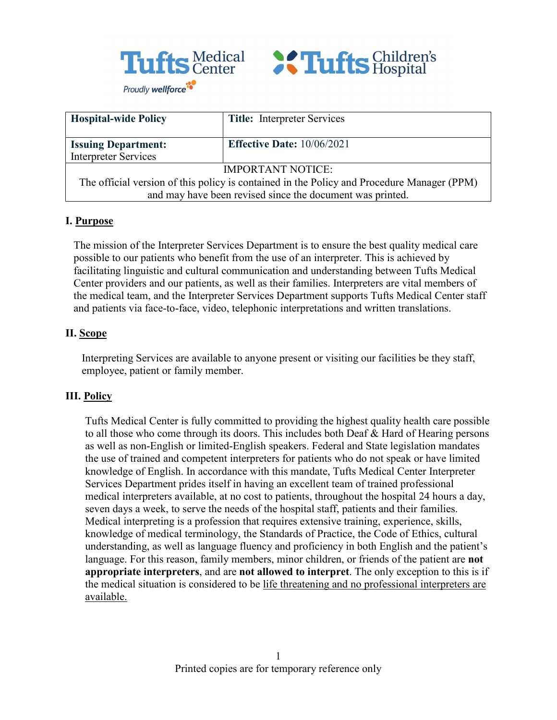



| <b>Hospital-wide Policy</b>                                                                | <b>Title:</b> Interpreter Services |  |
|--------------------------------------------------------------------------------------------|------------------------------------|--|
| <b>Issuing Department:</b>                                                                 | <b>Effective Date: 10/06/2021</b>  |  |
| <b>Interpreter Services</b>                                                                |                                    |  |
| <b>IMPORTANT NOTICE:</b>                                                                   |                                    |  |
| The official version of this policy is contained in the Policy and Procedure Manager (PPM) |                                    |  |
| and may have been revised since the document was printed.                                  |                                    |  |

### **I. Purpose**

The mission of the Interpreter Services Department is to ensure the best quality medical care possible to our patients who benefit from the use of an interpreter. This is achieved by facilitating linguistic and cultural communication and understanding between Tufts Medical Center providers and our patients, as well as their families. Interpreters are vital members of the medical team, and the Interpreter Services Department supports Tufts Medical Center staff and patients via face-to-face, video, telephonic interpretations and written translations.

## **II. Scope**

Interpreting Services are available to anyone present or visiting our facilities be they staff, employee, patient or family member.

## **III. Policy**

Tufts Medical Center is fully committed to providing the highest quality health care possible to all those who come through its doors. This includes both Deaf & Hard of Hearing persons as well as non-English or limited-English speakers. Federal and State legislation mandates the use of trained and competent interpreters for patients who do not speak or have limited knowledge of English. In accordance with this mandate, Tufts Medical Center Interpreter Services Department prides itself in having an excellent team of trained professional medical interpreters available, at no cost to patients, throughout the hospital 24 hours a day, seven days a week, to serve the needs of the hospital staff, patients and their families. Medical interpreting is a profession that requires extensive training, experience, skills, knowledge of medical terminology, the Standards of Practice, the Code of Ethics, cultural understanding, as well as language fluency and proficiency in both English and the patient's language. For this reason, family members, minor children, or friends of the patient are **not appropriate interpreters**, and are **not allowed to interpret**. The only exception to this is if the medical situation is considered to be life threatening and no professional interpreters are available.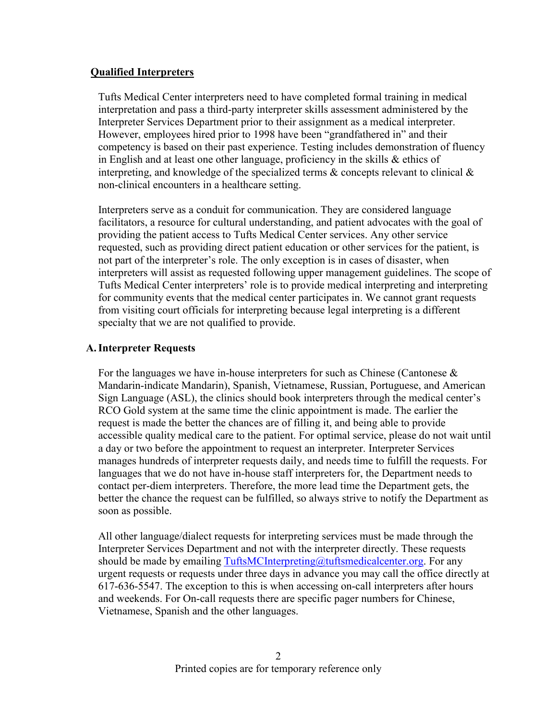### **Qualified Interpreters**

Tufts Medical Center interpreters need to have completed formal training in medical interpretation and pass a third-party interpreter skills assessment administered by the Interpreter Services Department prior to their assignment as a medical interpreter. However, employees hired prior to 1998 have been "grandfathered in" and their competency is based on their past experience. Testing includes demonstration of fluency in English and at least one other language, proficiency in the skills & ethics of interpreting, and knowledge of the specialized terms  $\&$  concepts relevant to clinical  $\&$ non-clinical encounters in a healthcare setting.

Interpreters serve as a conduit for communication. They are considered language facilitators, a resource for cultural understanding, and patient advocates with the goal of providing the patient access to Tufts Medical Center services. Any other service requested, such as providing direct patient education or other services for the patient, is not part of the interpreter's role. The only exception is in cases of disaster, when interpreters will assist as requested following upper management guidelines. The scope of Tufts Medical Center interpreters' role is to provide medical interpreting and interpreting for community events that the medical center participates in. We cannot grant requests from visiting court officials for interpreting because legal interpreting is a different specialty that we are not qualified to provide.

## **A.Interpreter Requests**

For the languages we have in-house interpreters for such as Chinese (Cantonese  $\&$ Mandarin-indicate Mandarin), Spanish, Vietnamese, Russian, Portuguese, and American Sign Language (ASL), the clinics should book interpreters through the medical center's RCO Gold system at the same time the clinic appointment is made. The earlier the request is made the better the chances are of filling it, and being able to provide accessible quality medical care to the patient. For optimal service, please do not wait until a day or two before the appointment to request an interpreter. Interpreter Services manages hundreds of interpreter requests daily, and needs time to fulfill the requests. For languages that we do not have in-house staff interpreters for, the Department needs to contact per-diem interpreters. Therefore, the more lead time the Department gets, the better the chance the request can be fulfilled, so always strive to notify the Department as soon as possible.

All other language/dialect requests for interpreting services must be made through the Interpreter Services Department and not with the interpreter directly. These requests should be made by emailing  $TutfsMCInterpreting@tutfs medicalcenter.org$ . For any urgent requests or requests under three days in advance you may call the office directly at 617-636-5547. The exception to this is when accessing on-call interpreters after hours and weekends. For On-call requests there are specific pager numbers for Chinese, Vietnamese, Spanish and the other languages.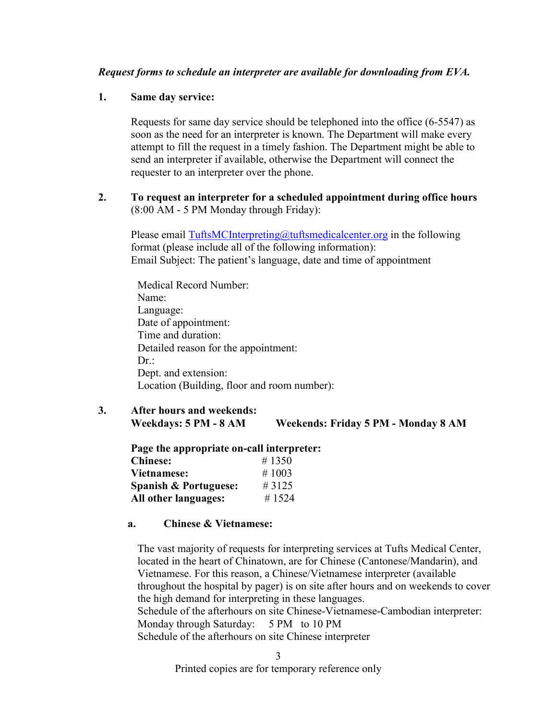### *Request forms to schedule an interpreter are available for downloading from EVA.*

#### **1. Same day service:**

Requests for same day service should be telephoned into the office (6-5547) as soon as the need for an interpreter is known. The Department will make every attempt to fill the request in a timely fashion. The Department might be able to send an interpreter if available, otherwise the Department will connect the requester to an interpreter over the phone.

### **2. To request an interpreter for a scheduled appointment during office hours** (8:00 AM - 5 PM Monday through Friday):

Please email [TuftsMCInterpreting@tuftsmedicalcenter.org](mailto:TuftsMCInterpreting@tuftsmedicalcenter.org) in the following format (please include all of the following information): Email Subject: The patient's language, date and time of appointment

Medical Record Number: Name: Language: Date of appointment: Time and duration: Detailed reason for the appointment: Dr.: Dept. and extension: Location (Building, floor and room number):

**3. After hours and weekends: Weekdays: 5 PM - 8 AM Weekends: Friday 5 PM - Monday 8 AM** 

| Page the appropriate on-call interpreter: |       |  |
|-------------------------------------------|-------|--|
| <b>Chinese:</b>                           | #1350 |  |
| Vietnamese:                               | #1003 |  |
| <b>Spanish &amp; Portuguese:</b>          | #3125 |  |
| All other languages:                      | #1524 |  |

#### **a. Chinese & Vietnamese:**

The vast majority of requests for interpreting services at Tufts Medical Center, located in the heart of Chinatown, are for Chinese (Cantonese/Mandarin), and Vietnamese. For this reason, a Chinese/Vietnamese interpreter (available throughout the hospital by pager) is on site after hours and on weekends to cover the high demand for interpreting in these languages. Schedule of the afterhours on site Chinese-Vietnamese-Cambodian interpreter: Monday through Saturday: 5 PM to 10 PM Schedule of the afterhours on site Chinese interpreter

Printed copies are for temporary reference only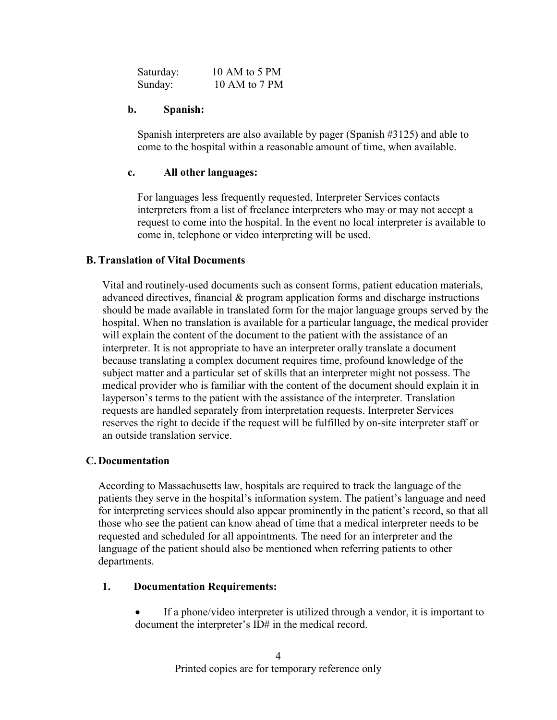| Saturday: | 10 AM to 5 PM |
|-----------|---------------|
| Sunday:   | 10 AM to 7 PM |

#### **b. Spanish:**

Spanish interpreters are also available by pager (Spanish #3125) and able to come to the hospital within a reasonable amount of time, when available.

#### **c. All other languages:**

For languages less frequently requested, Interpreter Services contacts interpreters from a list of freelance interpreters who may or may not accept a request to come into the hospital. In the event no local interpreter is available to come in, telephone or video interpreting will be used.

#### **B. Translation of Vital Documents**

Vital and routinely-used documents such as consent forms, patient education materials, advanced directives, financial & program application forms and discharge instructions should be made available in translated form for the major language groups served by the hospital. When no translation is available for a particular language, the medical provider will explain the content of the document to the patient with the assistance of an interpreter. It is not appropriate to have an interpreter orally translate a document because translating a complex document requires time, profound knowledge of the subject matter and a particular set of skills that an interpreter might not possess. The medical provider who is familiar with the content of the document should explain it in layperson's terms to the patient with the assistance of the interpreter. Translation requests are handled separately from interpretation requests. Interpreter Services reserves the right to decide if the request will be fulfilled by on-site interpreter staff or an outside translation service.

#### **C. Documentation**

According to Massachusetts law, hospitals are required to track the language of the patients they serve in the hospital's information system. The patient's language and need for interpreting services should also appear prominently in the patient's record, so that all those who see the patient can know ahead of time that a medical interpreter needs to be requested and scheduled for all appointments. The need for an interpreter and the language of the patient should also be mentioned when referring patients to other departments.

#### **1. Documentation Requirements:**

If a phone/video interpreter is utilized through a vendor, it is important to document the interpreter's ID# in the medical record.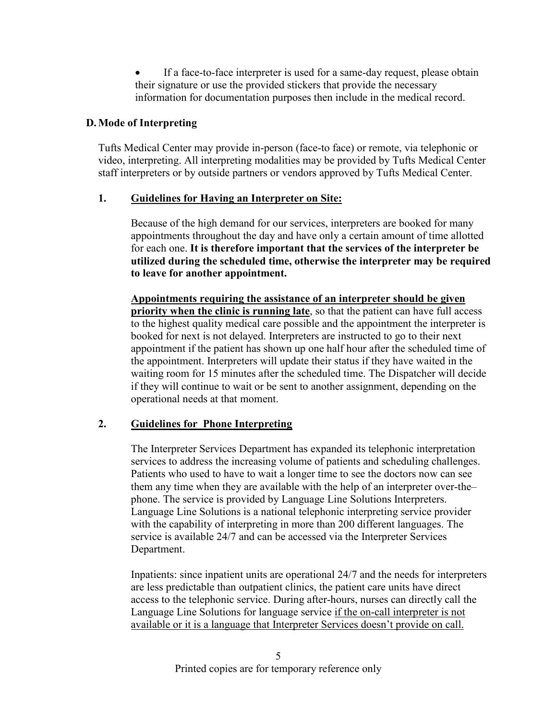If a face-to-face interpreter is used for a same-day request, please obtain their signature or use the provided stickers that provide the necessary information for documentation purposes then include in the medical record.

## **D.Mode of Interpreting**

Tufts Medical Center may provide in-person (face-to face) or remote, via telephonic or video, interpreting. All interpreting modalities may be provided by Tufts Medical Center staff interpreters or by outside partners or vendors approved by Tufts Medical Center.

## **1. Guidelines for Having an Interpreter on Site:**

Because of the high demand for our services, interpreters are booked for many appointments throughout the day and have only a certain amount of time allotted for each one. **It is therefore important that the services of the interpreter be utilized during the scheduled time, otherwise the interpreter may be required to leave for another appointment.** 

**Appointments requiring the assistance of an interpreter should be given priority when the clinic is running late**, so that the patient can have full access to the highest quality medical care possible and the appointment the interpreter is booked for next is not delayed. Interpreters are instructed to go to their next appointment if the patient has shown up one half hour after the scheduled time of the appointment. Interpreters will update their status if they have waited in the waiting room for 15 minutes after the scheduled time. The Dispatcher will decide if they will continue to wait or be sent to another assignment, depending on the operational needs at that moment.

# **2. Guidelines for Phone Interpreting**

The Interpreter Services Department has expanded its telephonic interpretation services to address the increasing volume of patients and scheduling challenges. Patients who used to have to wait a longer time to see the doctors now can see them any time when they are available with the help of an interpreter over-the– phone. The service is provided by Language Line Solutions Interpreters. Language Line Solutions is a national telephonic interpreting service provider with the capability of interpreting in more than 200 different languages. The service is available 24/7 and can be accessed via the Interpreter Services Department.

Inpatients: since inpatient units are operational 24/7 and the needs for interpreters are less predictable than outpatient clinics, the patient care units have direct access to the telephonic service. During after-hours, nurses can directly call the Language Line Solutions for language service if the on-call interpreter is not available or it is a language that Interpreter Services doesn't provide on call.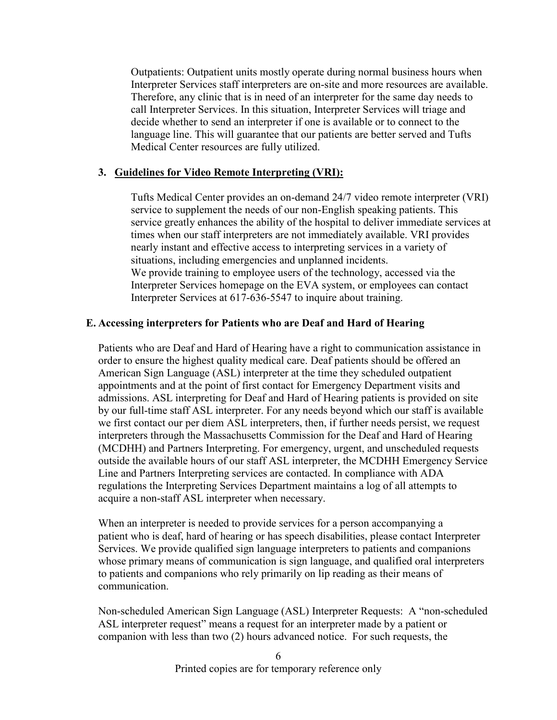Outpatients: Outpatient units mostly operate during normal business hours when Interpreter Services staff interpreters are on-site and more resources are available. Therefore, any clinic that is in need of an interpreter for the same day needs to call Interpreter Services. In this situation, Interpreter Services will triage and decide whether to send an interpreter if one is available or to connect to the language line. This will guarantee that our patients are better served and Tufts Medical Center resources are fully utilized.

#### **3. Guidelines for Video Remote Interpreting (VRI):**

Tufts Medical Center provides an on-demand 24/7 video remote interpreter (VRI) service to supplement the needs of our non-English speaking patients. This service greatly enhances the ability of the hospital to deliver immediate services at times when our staff interpreters are not immediately available. VRI provides nearly instant and effective access to interpreting services in a variety of situations, including emergencies and unplanned incidents. We provide training to employee users of the technology, accessed via the Interpreter Services homepage on the EVA system, or employees can contact Interpreter Services at 617-636-5547 to inquire about training.

#### **E. Accessing interpreters for Patients who are Deaf and Hard of Hearing**

Patients who are Deaf and Hard of Hearing have a right to communication assistance in order to ensure the highest quality medical care. Deaf patients should be offered an American Sign Language (ASL) interpreter at the time they scheduled outpatient appointments and at the point of first contact for Emergency Department visits and admissions. ASL interpreting for Deaf and Hard of Hearing patients is provided on site by our full-time staff ASL interpreter. For any needs beyond which our staff is available we first contact our per diem ASL interpreters, then, if further needs persist, we request interpreters through the Massachusetts Commission for the Deaf and Hard of Hearing (MCDHH) and Partners Interpreting. For emergency, urgent, and unscheduled requests outside the available hours of our staff ASL interpreter, the MCDHH Emergency Service Line and Partners Interpreting services are contacted. In compliance with ADA regulations the Interpreting Services Department maintains a log of all attempts to acquire a non-staff ASL interpreter when necessary.

When an interpreter is needed to provide services for a person accompanying a patient who is deaf, hard of hearing or has speech disabilities, please contact Interpreter Services. We provide qualified sign language interpreters to patients and companions whose primary means of communication is sign language, and qualified oral interpreters to patients and companions who rely primarily on lip reading as their means of communication.

Non-scheduled American Sign Language (ASL) Interpreter Requests: A "non-scheduled ASL interpreter request" means a request for an interpreter made by a patient or companion with less than two (2) hours advanced notice. For such requests, the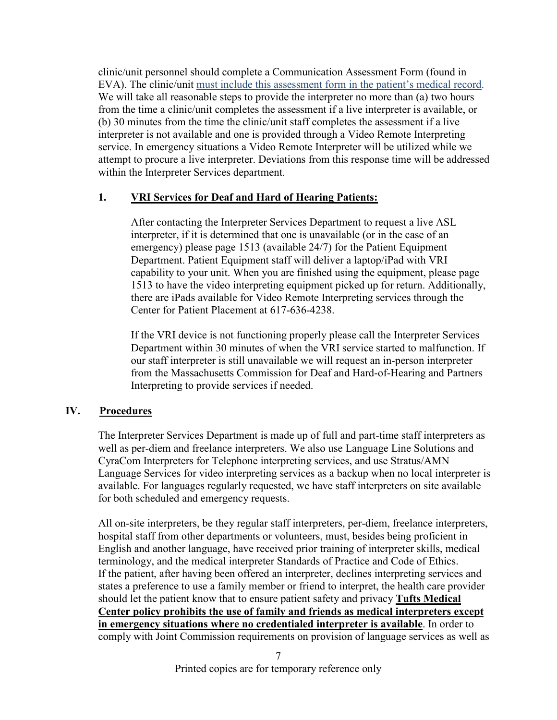clinic/unit personnel should complete a Communication Assessment Form (found in EVA). The clinic/unit must include this assessment form in the patient's medical record. We will take all reasonable steps to provide the interpreter no more than (a) two hours from the time a clinic/unit completes the assessment if a live interpreter is available, or (b) 30 minutes from the time the clinic/unit staff completes the assessment if a live interpreter is not available and one is provided through a Video Remote Interpreting service. In emergency situations a Video Remote Interpreter will be utilized while we attempt to procure a live interpreter. Deviations from this response time will be addressed within the Interpreter Services department.

## **1. VRI Services for Deaf and Hard of Hearing Patients:**

After contacting the Interpreter Services Department to request a live ASL interpreter, if it is determined that one is unavailable (or in the case of an emergency) please page 1513 (available 24/7) for the Patient Equipment Department. Patient Equipment staff will deliver a laptop/iPad with VRI capability to your unit. When you are finished using the equipment, please page 1513 to have the video interpreting equipment picked up for return. Additionally, there are iPads available for Video Remote Interpreting services through the Center for Patient Placement at 617-636-4238.

If the VRI device is not functioning properly please call the Interpreter Services Department within 30 minutes of when the VRI service started to malfunction. If our staff interpreter is still unavailable we will request an in-person interpreter from the Massachusetts Commission for Deaf and Hard-of-Hearing and Partners Interpreting to provide services if needed.

## **IV. Procedures**

The Interpreter Services Department is made up of full and part-time staff interpreters as well as per-diem and freelance interpreters. We also use Language Line Solutions and CyraCom Interpreters for Telephone interpreting services, and use Stratus/AMN Language Services for video interpreting services as a backup when no local interpreter is available. For languages regularly requested, we have staff interpreters on site available for both scheduled and emergency requests.

All on-site interpreters, be they regular staff interpreters, per-diem, freelance interpreters, hospital staff from other departments or volunteers, must, besides being proficient in English and another language, have received prior training of interpreter skills, medical terminology, and the medical interpreter Standards of Practice and Code of Ethics. If the patient, after having been offered an interpreter, declines interpreting services and states a preference to use a family member or friend to interpret, the health care provider should let the patient know that to ensure patient safety and privacy **Tufts Medical Center policy prohibits the use of family and friends as medical interpreters except in emergency situations where no credentialed interpreter is available**. In order to comply with Joint Commission requirements on provision of language services as well as

7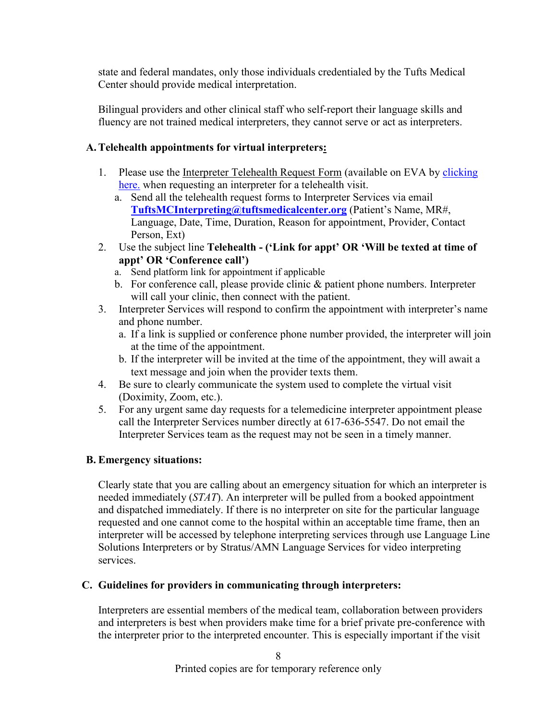state and federal mandates, only those individuals credentialed by the Tufts Medical Center should provide medical interpretation.

Bilingual providers and other clinical staff who self-report their language skills and fluency are not trained medical interpreters, they cannot serve or act as interpreters.

## **A.Telehealth appointments for virtual interpreters:**

- 1. Please use the Interpreter Telehealth Request Form (available on EVA by [clicking](https://intra.tuftsmceva.org/Interact/Pages/Content/Document.aspx?id=5987)  [here.](https://intra.tuftsmceva.org/Interact/Pages/Content/Document.aspx?id=5987) when requesting an interpreter for a telehealth visit.
	- a. Send all the telehealth request forms to Interpreter Services via email **[TuftsMCInterpreting@tuftsmedicalcenter.org](mailto:TuftsMCInterpreting@tuftsmedicalcenter.org)** (Patient's Name, MR#, Language, Date, Time, Duration, Reason for appointment, Provider, Contact Person, Ext)
- 2. Use the subject line **Telehealth ('Link for appt' OR 'Will be texted at time of appt' OR 'Conference call')**
	- a. Send platform link for appointment if applicable
	- b. For conference call, please provide clinic & patient phone numbers. Interpreter will call your clinic, then connect with the patient.
- 3. Interpreter Services will respond to confirm the appointment with interpreter's name and phone number.
	- a. If a link is supplied or conference phone number provided, the interpreter will join at the time of the appointment.
	- b. If the interpreter will be invited at the time of the appointment, they will await a text message and join when the provider texts them.
- 4. Be sure to clearly communicate the system used to complete the virtual visit (Doximity, Zoom, etc.).
- 5. For any urgent same day requests for a telemedicine interpreter appointment please call the Interpreter Services number directly at 617-636-5547. Do not email the Interpreter Services team as the request may not be seen in a timely manner.

## **B. Emergency situations:**

Clearly state that you are calling about an emergency situation for which an interpreter is needed immediately (*STAT*). An interpreter will be pulled from a booked appointment and dispatched immediately. If there is no interpreter on site for the particular language requested and one cannot come to the hospital within an acceptable time frame, then an interpreter will be accessed by telephone interpreting services through use Language Line Solutions Interpreters or by Stratus/AMN Language Services for video interpreting services.

## **C. Guidelines for providers in communicating through interpreters:**

Interpreters are essential members of the medical team, collaboration between providers and interpreters is best when providers make time for a brief private pre-conference with the interpreter prior to the interpreted encounter. This is especially important if the visit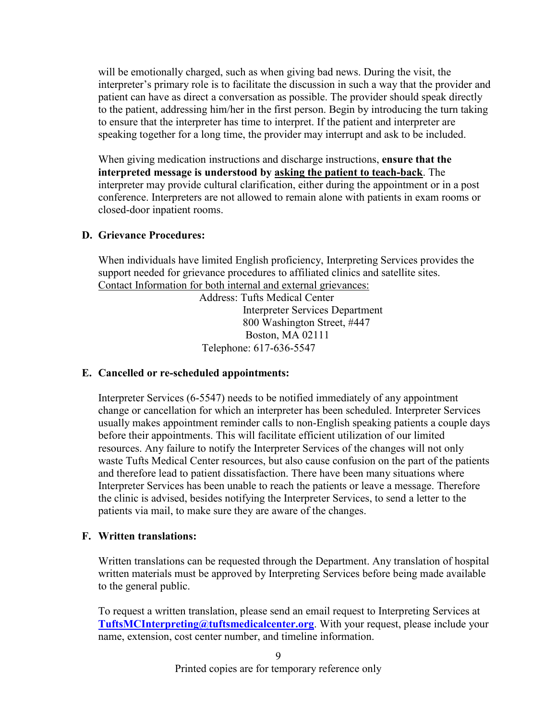will be emotionally charged, such as when giving bad news. During the visit, the interpreter's primary role is to facilitate the discussion in such a way that the provider and patient can have as direct a conversation as possible. The provider should speak directly to the patient, addressing him/her in the first person. Begin by introducing the turn taking to ensure that the interpreter has time to interpret. If the patient and interpreter are speaking together for a long time, the provider may interrupt and ask to be included.

When giving medication instructions and discharge instructions, **ensure that the interpreted message is understood by asking the patient to teach-back**. The interpreter may provide cultural clarification, either during the appointment or in a post conference. Interpreters are not allowed to remain alone with patients in exam rooms or closed-door inpatient rooms.

### **D. Grievance Procedures:**

When individuals have limited English proficiency, Interpreting Services provides the support needed for grievance procedures to affiliated clinics and satellite sites. Contact Information for both internal and external grievances:

 Address: Tufts Medical Center Interpreter Services Department 800 Washington Street, #447 Boston, MA 02111 Telephone: 617-636-5547

## **E. Cancelled or re-scheduled appointments:**

Interpreter Services (6-5547) needs to be notified immediately of any appointment change or cancellation for which an interpreter has been scheduled. Interpreter Services usually makes appointment reminder calls to non-English speaking patients a couple days before their appointments. This will facilitate efficient utilization of our limited resources. Any failure to notify the Interpreter Services of the changes will not only waste Tufts Medical Center resources, but also cause confusion on the part of the patients and therefore lead to patient dissatisfaction. There have been many situations where Interpreter Services has been unable to reach the patients or leave a message. Therefore the clinic is advised, besides notifying the Interpreter Services, to send a letter to the patients via mail, to make sure they are aware of the changes.

## **F. Written translations:**

Written translations can be requested through the Department. Any translation of hospital written materials must be approved by Interpreting Services before being made available to the general public.

To request a written translation, please send an email request to Interpreting Services at **[TuftsMCInterpreting@tuftsmedicalcenter.org](mailto:TuftsMCInterpreting@tuftsmedicalcenter.org)**. With your request, please include your name, extension, cost center number, and timeline information.

 $\overline{Q}$ 

Printed copies are for temporary reference only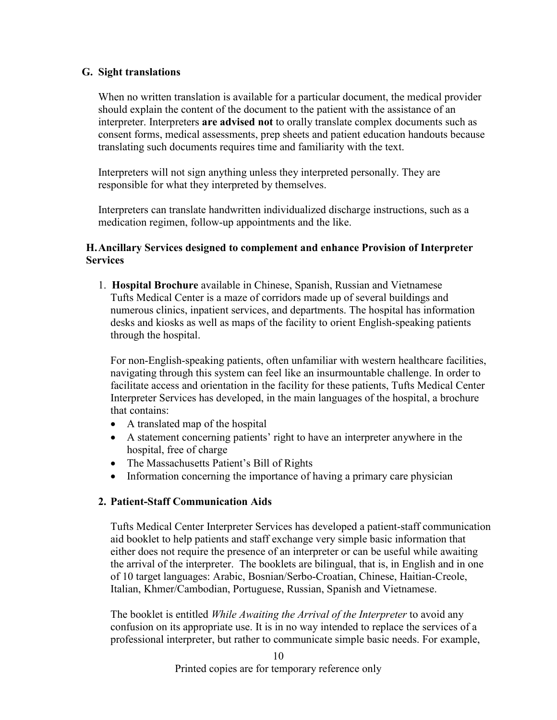### **G. Sight translations**

When no written translation is available for a particular document, the medical provider should explain the content of the document to the patient with the assistance of an interpreter. Interpreters **are advised not** to orally translate complex documents such as consent forms, medical assessments, prep sheets and patient education handouts because translating such documents requires time and familiarity with the text.

Interpreters will not sign anything unless they interpreted personally. They are responsible for what they interpreted by themselves.

Interpreters can translate handwritten individualized discharge instructions, such as a medication regimen, follow-up appointments and the like.

### **H.Ancillary Services designed to complement and enhance Provision of Interpreter Services**

1. **Hospital Brochure** available in Chinese, Spanish, Russian and Vietnamese Tufts Medical Center is a maze of corridors made up of several buildings and numerous clinics, inpatient services, and departments. The hospital has information desks and kiosks as well as maps of the facility to orient English-speaking patients through the hospital.

For non-English-speaking patients, often unfamiliar with western healthcare facilities, navigating through this system can feel like an insurmountable challenge. In order to facilitate access and orientation in the facility for these patients, Tufts Medical Center Interpreter Services has developed, in the main languages of the hospital, a brochure that contains:

- A translated map of the hospital
- A statement concerning patients' right to have an interpreter anywhere in the hospital, free of charge
- The Massachusetts Patient's Bill of Rights
- Information concerning the importance of having a primary care physician

#### **2. Patient-Staff Communication Aids**

Tufts Medical Center Interpreter Services has developed a patient-staff communication aid booklet to help patients and staff exchange very simple basic information that either does not require the presence of an interpreter or can be useful while awaiting the arrival of the interpreter. The booklets are bilingual, that is, in English and in one of 10 target languages: Arabic, Bosnian/Serbo-Croatian, Chinese, Haitian-Creole, Italian, Khmer/Cambodian, Portuguese, Russian, Spanish and Vietnamese.

The booklet is entitled *While Awaiting the Arrival of the Interpreter* to avoid any confusion on its appropriate use. It is in no way intended to replace the services of a professional interpreter, but rather to communicate simple basic needs. For example,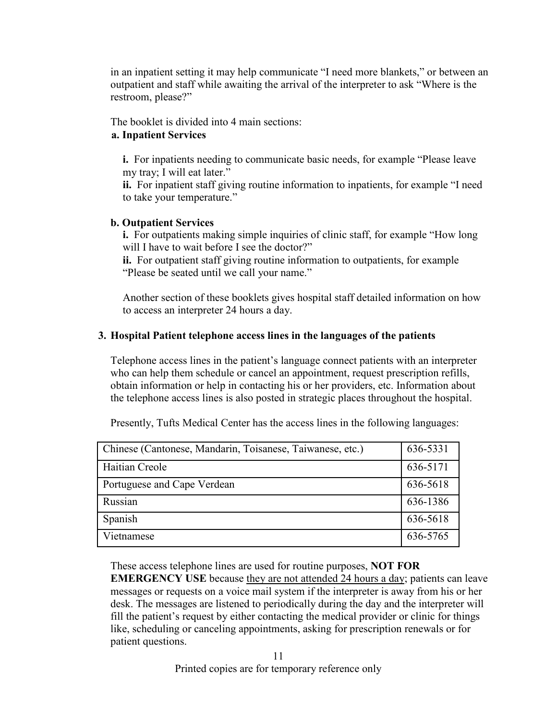in an inpatient setting it may help communicate "I need more blankets," or between an outpatient and staff while awaiting the arrival of the interpreter to ask "Where is the restroom, please?"

The booklet is divided into 4 main sections:

## **a. Inpatient Services**

**i.** For inpatients needing to communicate basic needs, for example "Please leave my tray; I will eat later."

**ii.** For inpatient staff giving routine information to inpatients, for example "I need to take your temperature."

# **b. Outpatient Services**

**i.** For outpatients making simple inquiries of clinic staff, for example "How long will I have to wait before I see the doctor?"

**ii.** For outpatient staff giving routine information to outpatients, for example "Please be seated until we call your name."

Another section of these booklets gives hospital staff detailed information on how to access an interpreter 24 hours a day.

## **3. Hospital Patient telephone access lines in the languages of the patients**

Telephone access lines in the patient's language connect patients with an interpreter who can help them schedule or cancel an appointment, request prescription refills, obtain information or help in contacting his or her providers, etc. Information about the telephone access lines is also posted in strategic places throughout the hospital.

| Chinese (Cantonese, Mandarin, Toisanese, Taiwanese, etc.) | 636-5331 |
|-----------------------------------------------------------|----------|
| Haitian Creole                                            | 636-5171 |
| Portuguese and Cape Verdean                               | 636-5618 |
| Russian                                                   | 636-1386 |
| Spanish                                                   | 636-5618 |
| Vietnamese                                                | 636-5765 |

Presently, Tufts Medical Center has the access lines in the following languages:

These access telephone lines are used for routine purposes, **NOT FOR** 

**EMERGENCY USE** because they are not attended 24 hours a day; patients can leave messages or requests on a voice mail system if the interpreter is away from his or her desk. The messages are listened to periodically during the day and the interpreter will fill the patient's request by either contacting the medical provider or clinic for things like, scheduling or canceling appointments, asking for prescription renewals or for patient questions.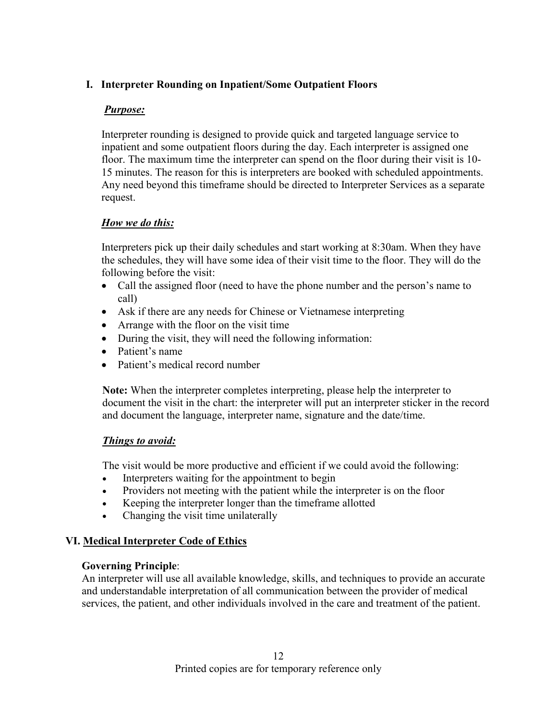## **I. Interpreter Rounding on Inpatient/Some Outpatient Floors**

## *Purpose:*

Interpreter rounding is designed to provide quick and targeted language service to inpatient and some outpatient floors during the day. Each interpreter is assigned one floor. The maximum time the interpreter can spend on the floor during their visit is 10- 15 minutes. The reason for this is interpreters are booked with scheduled appointments. Any need beyond this timeframe should be directed to Interpreter Services as a separate request.

## *How we do this:*

Interpreters pick up their daily schedules and start working at 8:30am. When they have the schedules, they will have some idea of their visit time to the floor. They will do the following before the visit:

- Call the assigned floor (need to have the phone number and the person's name to call)
- Ask if there are any needs for Chinese or Vietnamese interpreting
- Arrange with the floor on the visit time
- During the visit, they will need the following information:
- Patient's name
- Patient's medical record number

**Note:** When the interpreter completes interpreting, please help the interpreter to document the visit in the chart: the interpreter will put an interpreter sticker in the record and document the language, interpreter name, signature and the date/time.

## *Things to avoid:*

The visit would be more productive and efficient if we could avoid the following:

- Interpreters waiting for the appointment to begin
- Providers not meeting with the patient while the interpreter is on the floor
- Keeping the interpreter longer than the timeframe allotted
- Changing the visit time unilaterally

# **VI. Medical Interpreter Code of Ethics**

## **Governing Principle**:

An interpreter will use all available knowledge, skills, and techniques to provide an accurate and understandable interpretation of all communication between the provider of medical services, the patient, and other individuals involved in the care and treatment of the patient.